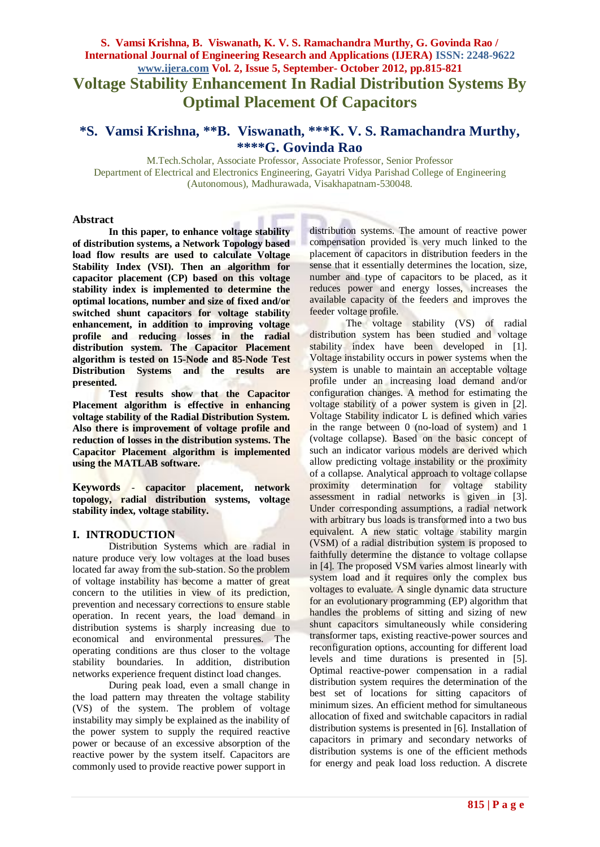# **S. Vamsi Krishna, B. Viswanath, K. V. S. Ramachandra Murthy, G. Govinda Rao / International Journal of Engineering Research and Applications (IJERA) ISSN: 2248-9622 www.ijera.com Vol. 2, Issue 5, September- October 2012, pp.815-821 Voltage Stability Enhancement In Radial Distribution Systems By Optimal Placement Of Capacitors**

# **\*S. Vamsi Krishna, \*\*B. Viswanath, \*\*\*K. V. S. Ramachandra Murthy, \*\*\*\*G. Govinda Rao**

M.Tech.Scholar, Associate Professor, Associate Professor, Senior Professor Department of Electrical and Electronics Engineering, Gayatri Vidya Parishad College of Engineering (Autonomous), Madhurawada, Visakhapatnam-530048.

#### **Abstract**

**In this paper, to enhance voltage stability of distribution systems, a Network Topology based load flow results are used to calculate Voltage Stability Index (VSI). Then an algorithm for capacitor placement (CP) based on this voltage stability index is implemented to determine the optimal locations, number and size of fixed and/or switched shunt capacitors for voltage stability enhancement, in addition to improving voltage profile and reducing losses in the radial distribution system. The Capacitor Placement algorithm is tested on 15-Node and 85-Node Test Distribution Systems and the results are presented.**

**Test results show that the Capacitor Placement algorithm is effective in enhancing voltage stability of the Radial Distribution System. Also there is improvement of voltage profile and reduction of losses in the distribution systems. The Capacitor Placement algorithm is implemented using the MATLAB software.**

**Keywords** - **capacitor placement, network topology, radial distribution systems, voltage stability index, voltage stability.**

#### **I. INTRODUCTION**

Distribution Systems which are radial in nature produce very low voltages at the load buses located far away from the sub-station. So the problem of voltage instability has become a matter of great concern to the utilities in view of its prediction, prevention and necessary corrections to ensure stable operation. In recent years, the load demand in distribution systems is sharply increasing due to economical and environmental pressures. The operating conditions are thus closer to the voltage stability boundaries. In addition, distribution networks experience frequent distinct load changes.

During peak load, even a small change in the load pattern may threaten the voltage stability (VS) of the system. The problem of voltage instability may simply be explained as the inability of the power system to supply the required reactive power or because of an excessive absorption of the reactive power by the system itself. Capacitors are commonly used to provide reactive power support in

distribution systems. The amount of reactive power compensation provided is very much linked to the placement of capacitors in distribution feeders in the sense that it essentially determines the location, size, number and type of capacitors to be placed, as it reduces power and energy losses, increases the available capacity of the feeders and improves the feeder voltage profile.

The voltage stability (VS) of radial distribution system has been studied and voltage stability index have been developed in [1]. Voltage instability occurs in power systems when the system is unable to maintain an acceptable voltage profile under an increasing load demand and/or configuration changes. A method for estimating the voltage stability of a power system is given in [2]. Voltage Stability indicator L is defined which varies in the range between 0 (no-load of system) and 1 (voltage collapse). Based on the basic concept of such an indicator various models are derived which allow predicting voltage instability or the proximity of a collapse. Analytical approach to voltage collapse proximity determination for voltage stability assessment in radial networks is given in [3]. Under corresponding assumptions, a radial network with arbitrary bus loads is transformed into a two bus equivalent. A new static voltage stability margin (VSM) of a radial distribution system is proposed to faithfully determine the distance to voltage collapse in [4]. The proposed VSM varies almost linearly with system load and it requires only the complex bus voltages to evaluate. A single dynamic data structure for an evolutionary programming (EP) algorithm that handles the problems of sitting and sizing of new shunt capacitors simultaneously while considering transformer taps, existing reactive-power sources and reconfiguration options, accounting for different load levels and time durations is presented in [5]. Optimal reactive-power compensation in a radial distribution system requires the determination of the best set of locations for sitting capacitors of minimum sizes. An efficient method for simultaneous allocation of fixed and switchable capacitors in radial distribution systems is presented in [6]. Installation of capacitors in primary and secondary networks of distribution systems is one of the efficient methods for energy and peak load loss reduction. A discrete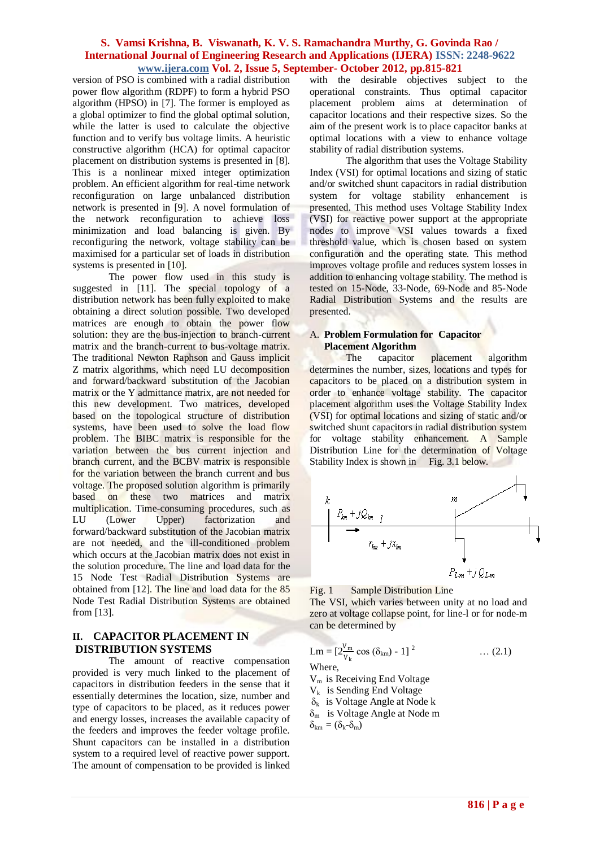version of PSO is combined with a radial distribution power flow algorithm (RDPF) to form a hybrid PSO algorithm (HPSO) in [7]. The former is employed as a global optimizer to find the global optimal solution, while the latter is used to calculate the objective function and to verify bus voltage limits. A heuristic constructive algorithm (HCA) for optimal capacitor placement on distribution systems is presented in [8]. This is a nonlinear mixed integer optimization problem. An efficient algorithm for real-time network reconfiguration on large unbalanced distribution network is presented in [9]. A novel formulation of the network reconfiguration to achieve loss minimization and load balancing is given. By reconfiguring the network, voltage stability can be maximised for a particular set of loads in distribution systems is presented in [10].

The power flow used in this study is suggested in [11]. The special topology of a distribution network has been fully exploited to make obtaining a direct solution possible. Two developed matrices are enough to obtain the power flow solution: they are the bus-injection to branch-current matrix and the branch-current to bus-voltage matrix. The traditional Newton Raphson and Gauss implicit Z matrix algorithms, which need LU decomposition and forward/backward substitution of the Jacobian matrix or the Y admittance matrix, are not needed for this new development. Two matrices, developed based on the topological structure of distribution systems, have been used to solve the load flow problem. The BIBC matrix is responsible for the variation between the bus current injection and branch current, and the BCBV matrix is responsible for the variation between the branch current and bus voltage. The proposed solution algorithm is primarily based on these two matrices and matrix multiplication. Time-consuming procedures, such as LU (Lower Upper) factorization and forward/backward substitution of the Jacobian matrix are not needed, and the ill-conditioned problem which occurs at the Jacobian matrix does not exist in the solution procedure. The line and load data for the 15 Node Test Radial Distribution Systems are obtained from [12]. The line and load data for the 85 Node Test Radial Distribution Systems are obtained from [13].

## **II. CAPACITOR PLACEMENT IN DISTRIBUTION SYSTEMS**

The amount of reactive compensation provided is very much linked to the placement of capacitors in distribution feeders in the sense that it essentially determines the location, size, number and type of capacitors to be placed, as it reduces power and energy losses, increases the available capacity of the feeders and improves the feeder voltage profile. Shunt capacitors can be installed in a distribution system to a required level of reactive power support. The amount of compensation to be provided is linked

with the desirable objectives subject to the operational constraints. Thus optimal capacitor placement problem aims at determination of capacitor locations and their respective sizes. So the aim of the present work is to place capacitor banks at optimal locations with a view to enhance voltage stability of radial distribution systems.

The algorithm that uses the Voltage Stability Index (VSI) for optimal locations and sizing of static and/or switched shunt capacitors in radial distribution system for voltage stability enhancement is presented. This method uses Voltage Stability Index (VSI) for reactive power support at the appropriate nodes to improve VSI values towards a fixed threshold value, which is chosen based on system configuration and the operating state. This method improves voltage profile and reduces system losses in addition to enhancing voltage stability. The method is tested on 15-Node, 33-Node, 69-Node and 85-Node Radial Distribution Systems and the results are presented.

#### A. **Problem Formulation for Capacitor Placement Algorithm**

The capacitor placement algorithm determines the number, sizes, locations and types for capacitors to be placed on a distribution system in order to enhance voltage stability. The capacitor placement algorithm uses the Voltage Stability Index (VSI) for optimal locations and sizing of static and/or switched shunt capacitors in radial distribution system for voltage stability enhancement. A Sample Distribution Line for the determination of Voltage Stability Index is shown in Fig. 3.1 below.



Fig. 1 Sample Distribution Line

The VSI, which varies between unity at no load and zero at voltage collapse point, for line-l or for node-m can be determined by

$$
Lm = [2\frac{V_m}{V_k} \cos (\delta_{km}) - 1]^2 \qquad \dots (2.1)
$$
  
Where,  
 $V_m$  is Receiving End Voltage

 $V_k$  is Sending End Voltage

 $\delta_k$  is Voltage Angle at Node k

 $\delta_{\rm m}$  is Voltage Angle at Node m

 $\delta_{km} = (\delta_k - \delta_m)$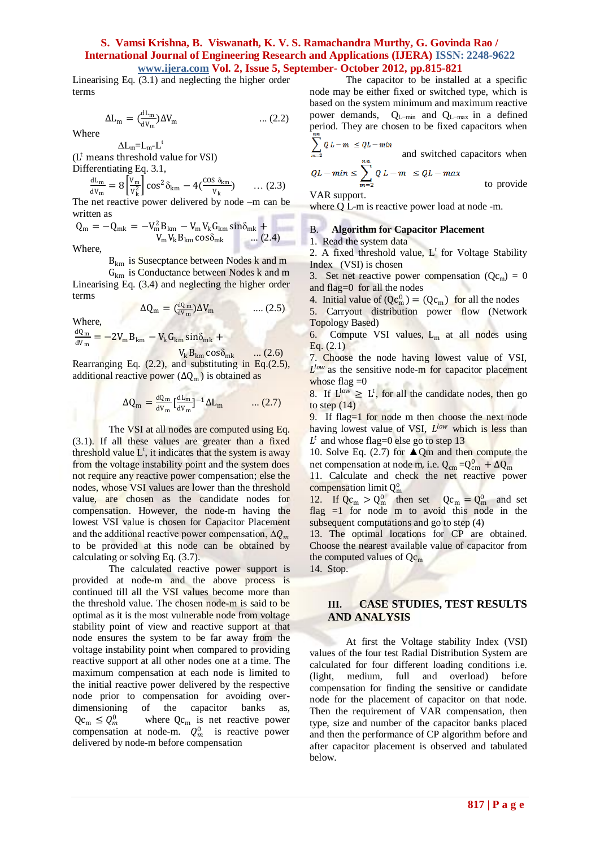Linearising Eq. (3.1) and neglecting the higher order terms

$$
\Delta L_{m} = \left(\frac{dL_{m}}{dV_{m}}\right) \Delta V_{m} \qquad \qquad \dots (2.2)
$$

Where

 $\Delta L_m = L_m - L^t$ (L <sup>t</sup> means threshold value for VSI)

Differentiating Eq. 3.1,

$$
\frac{dL_m}{dV_m} = 8 \left[ \frac{V_m}{V_k^2} \right] \cos^2 \delta_{km} - 4 \left( \frac{\cos \delta_{km}}{V_k} \right) \qquad \dots (2.3)
$$

The net reactive power delivered by node –m can be written as

$$
Q_{m} = -Q_{mk} = -V_{m}^{2}B_{km} - V_{m}V_{k}G_{km}\sin\delta_{mk} + V_{m}V_{k}B_{km}\cos\delta_{mk} \quad ... (2.4)
$$

Where,

B<sub>km</sub> is Susecptance between Nodes k and m

 $G<sub>km</sub>$  is Conductance between Nodes k and m Linearising Eq. (3.4) and neglecting the higher order terms

$$
\Delta Q_{\rm m} = \left(\frac{\mathrm{d}Q_{\rm m}}{\mathrm{d}V_{\rm m}}\right) \Delta V_{\rm m} \qquad \qquad \dots (2.5)
$$

Where,

$$
\frac{dQ_m}{dV_m} = -2V_m B_{km} - V_k G_{km} \sin\delta_{mk} + V_k B_{km} \cos\delta_{mk} \qquad ... (2.6)
$$

Rearranging Eq. (2.2), and substituting in Eq.(2.5), additional reactive power  $(\Delta Q_m)$  is obtained as

$$
\Delta Q_{\rm m} = \frac{dQ_{\rm m}}{dV_{\rm m}} \left[ \frac{dL_{\rm m}}{dV_{\rm m}} \right]^{-1} \Delta L_{\rm m} \qquad \dots (2.7)
$$

The VSI at all nodes are computed using Eq. (3.1). If all these values are greater than a fixed threshold value  $L^{\tau}$ , it indicates that the system is away from the voltage instability point and the system does not require any reactive power compensation; else the nodes, whose VSI values are lower than the threshold value, are chosen as the candidate nodes for compensation. However, the node-m having the lowest VSI value is chosen for Capacitor Placement and the additional reactive power compensation,  $\Delta Q_m$ to be provided at this node can be obtained by calculating or solving Eq. (3.7).

The calculated reactive power support is provided at node-m and the above process is continued till all the VSI values become more than the threshold value. The chosen node-m is said to be optimal as it is the most vulnerable node from voltage stability point of view and reactive support at that node ensures the system to be far away from the voltage instability point when compared to providing reactive support at all other nodes one at a time. The maximum compensation at each node is limited to the initial reactive power delivered by the respective node prior to compensation for avoiding overdimensioning of the capacitor banks as,  $Qc_m \leq Q_m^0$ where  $Qc_m$  is net reactive power compensation at node-m.  $Q_m^0$  is reactive power delivered by node-m before compensation

The capacitor to be installed at a specific node may be either fixed or switched type, which is based on the system minimum and maximum reactive power demands, QL−min and QL−max in a defined period. They are chosen to be fixed capacitors when  $\sum_{i=1}^{n} a_i$  $\sim$   $\sim$   $\sim$   $\sim$ 

$$
\sum_{m=2}^{N} Q L - m \le Q L - m
$$
 and switched capacitors when  

$$
QL - min \le \sum_{m=2}^{n} Q L - m \le Q L - max
$$
to provide

VAR support.

where O L-m is reactive power load at node -m.

#### B. **Algorithm for Capacitor Placement**

1. Read the system data

2. A fixed threshold value,  $L^t$  for Voltage Stability Index (VSI) is chosen

3. Set net reactive power compensation  $(Qc_m) = 0$ and flag=0 for all the nodes

4. Initial value of  $(Qc_m^0) = (Qc_m)$  for all the nodes

5. Carryout distribution power flow (Network Topology Based)

6. Compute VSI values,  $L_m$  at all nodes using Eq. (2.1)

7. Choose the node having lowest value of VSI,  $L^{low}$  as the sensitive node-m for capacitor placement whose flag  $=0$ 

8. If  $L^{low} \geq L^t$ , for all the candidate nodes, then go to step  $(14)$ 

9. If flag=1 for node m then choose the next node having lowest value of VSI, Llow which is less than  $L^t$  and whose flag=0 else go to step 13

10. Solve Eq.  $(2.7)$  for  $\triangle$  Qm and then compute the net compensation at node m, i.e.  $Q_{cm} = Q_{cm}^0 + \Delta Q_{m}$ 

11. Calculate and check the net reactive power compensation limit Q<sup>o</sup><sub>m</sub>

12. If  $Qc_m > Q_m^0$  then set  $Qc_m = Q_m^0$  and set flag  $=1$  for node m to avoid this node in the subsequent computations and go to step  $(4)$ 

13. The optimal locations for CP are obtained. Choose the nearest available value of capacitor from the computed values of  $Qc<sub>m</sub>$ 

14. Stop.

## **III. CASE STUDIES, TEST RESULTS AND ANALYSIS**

At first the Voltage stability Index (VSI) values of the four test Radial Distribution System are calculated for four different loading conditions i.e. (light, medium, full and overload) before compensation for finding the sensitive or candidate node for the placement of capacitor on that node. Then the requirement of VAR compensation, then type, size and number of the capacitor banks placed and then the performance of CP algorithm before and after capacitor placement is observed and tabulated below.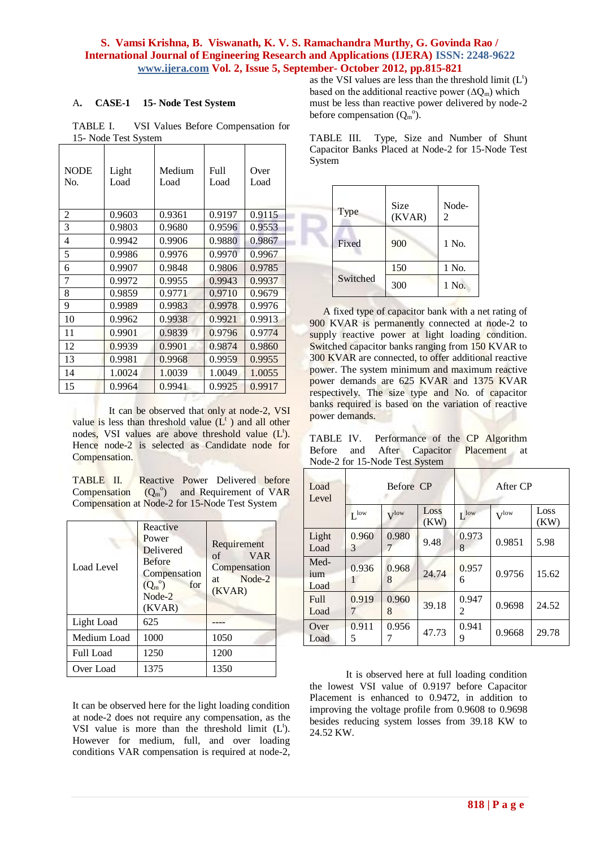## A**. CASE-1 15- Node Test System**

TABLE I. VSI Values Before Compensation for 15- Node Test System

| 2<br>0.9603<br>0.9197<br>0.9361<br>3<br>0.9803<br>0.9596<br>0.9680<br>4<br>0.9942<br>0.9906<br>0.9880<br>5<br>0.9986<br>0.9970<br>0.9976<br>0.9907<br>0.9806<br>6<br>0.9848 | Over<br>Load |
|-----------------------------------------------------------------------------------------------------------------------------------------------------------------------------|--------------|
|                                                                                                                                                                             | 0.9115       |
|                                                                                                                                                                             | 0.9553       |
|                                                                                                                                                                             | 0.9867       |
|                                                                                                                                                                             | 0.9967       |
|                                                                                                                                                                             | 0.9785       |
| 7<br>0.9943<br>0.9972<br>0.9955                                                                                                                                             | 0.9937       |
| 8<br>0.9771<br>0.9710<br>0.9859                                                                                                                                             | 0.9679       |
| 9<br>0.9978<br>0.9989<br>0.9983                                                                                                                                             | 0.9976       |
| 10<br>0.9962<br>0.9921<br>0.9938                                                                                                                                            | 0.9913       |
| 11<br>0.9839<br>0.9796<br>0.9901                                                                                                                                            | 0.9774       |
| 12<br>0.9901<br>0.9874<br>0.9939                                                                                                                                            | 0.9860       |
| 13<br>0.9959<br>0.9981<br>0.9968                                                                                                                                            | 0.9955       |
| 14<br>1.0024<br>1.0039<br>1.0049                                                                                                                                            | 1.0055       |
| 0.9941<br>0.9925<br>15<br>0.9964                                                                                                                                            | 0.9917       |

It can be observed that only at node-2, VSI value is less than threshold value  $(L<sup>t</sup>)$  and all other nodes, VSI values are above threshold value (L<sup>t</sup>). Hence node-2 is selected as Candidate node for Compensation.

TABLE II. Reactive Power Delivered before  $\mathsf{Compensation}\quad (Q_m^{\circ})\quad\text{and}\quad\mathsf{Required}\quad\text{of}\ \mathsf{VAR}$ Compensation at Node-2 for 15-Node Test System

| Load Level       | Reactive<br>Power<br>Delivered<br><b>Before</b><br>Compensation<br>$(Q_m^{\circ})$<br>for<br>Node-2<br>(KVAR) | Requirement<br><b>VAR</b><br>of<br>Compensation<br>Node-2<br>at<br>(KVAR) |
|------------------|---------------------------------------------------------------------------------------------------------------|---------------------------------------------------------------------------|
| Light Load       | 625                                                                                                           |                                                                           |
| Medium Load      | 1000                                                                                                          | 1050                                                                      |
| <b>Full Load</b> | 1250                                                                                                          | 1200                                                                      |
| Over Load        | 1375                                                                                                          | 1350                                                                      |

It can be observed here for the light loading condition at node-2 does not require any compensation, as the VSI value is more than the threshold limit  $(L<sup>t</sup>)$ . However for medium, full, and over loading conditions VAR compensation is required at node-2,

as the VSI values are less than the threshold limit  $(L<sup>t</sup>)$ based on the additional reactive power  $(\Delta Q_m)$  which must be less than reactive power delivered by node-2 before compensation  $(Q_m^{\circ})$ .

TABLE III. Type, Size and Number of Shunt Capacitor Banks Placed at Node-2 for 15-Node Test System

| Type     | Size<br>(KVAR) | Node-<br>2 |
|----------|----------------|------------|
| Fixed    | 900            | 1 No.      |
|          | 150            | 1 No.      |
| Switched | 300            | 1 No.      |

A fixed type of capacitor bank with a net rating of 900 KVAR is permanently connected at node-2 to supply reactive power at light loading condition. Switched capacitor banks ranging from 150 KVAR to 300 KVAR are connected, to offer additional reactive power. The system minimum and maximum reactive power demands are 625 KVAR and 1375 KVAR respectively. The size type and No. of capacitor banks required is based on the variation of reactive power demands.

TABLE IV. Performance of the CP Algorithm Before and After Capacitor Placement at Node-2 for 15-Node Test System

| Load<br>Level       | Before CP        |                  | After CP     |                  |                  |              |
|---------------------|------------------|------------------|--------------|------------------|------------------|--------------|
|                     | $L^{\text{low}}$ | $V^{\text{low}}$ | Loss<br>(KW) | I <sup>low</sup> | V <sup>low</sup> | Loss<br>(KW) |
| Light<br>Load       | 0.960<br>3       | 0.980            | 9.48         | 0.973<br>8       | 0.9851           | 5.98         |
| Med-<br>ium<br>Load | 0.936            | 0.968<br>8       | 24.74        | 0.957<br>6       | 0.9756           | 15.62        |
| <b>Full</b><br>Load | 0.919            | 0.960<br>8       | 39.18        | 0.947<br>2       | 0.9698           | 24.52        |
| Over<br>Load        | 0.911<br>5       | 0.956            | 47.73        | 0.941<br>9       | 0.9668           | 29.78        |

It is observed here at full loading condition the lowest VSI value of 0.9197 before Capacitor Placement is enhanced to 0.9472, in addition to improving the voltage profile from 0.9608 to 0.9698 besides reducing system losses from 39.18 KW to 24.52 KW.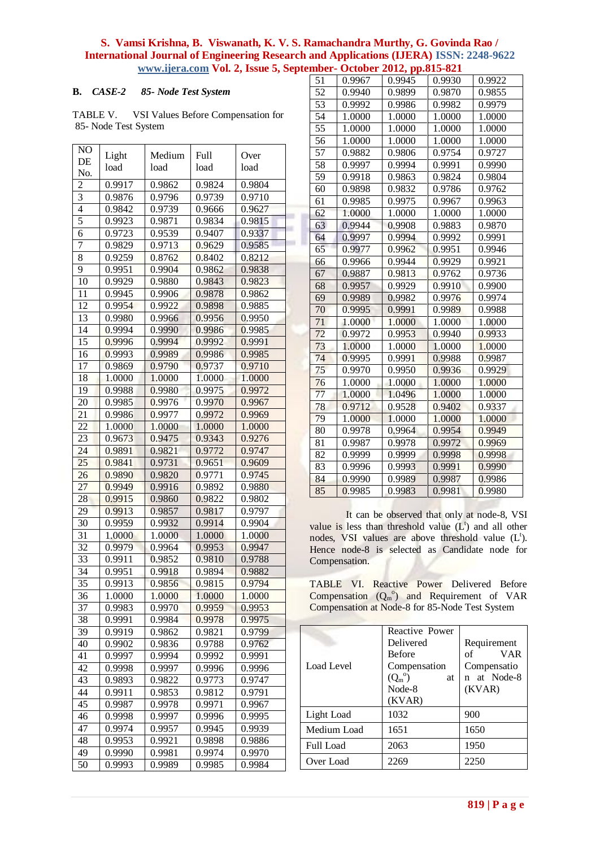#### **B.** *CASE-2 85- Node Test System*

TABLE V. VSI Values Before Compensation for 85- Node Test System

| NO             | Light  | Medium | Full   | Over   |                          |
|----------------|--------|--------|--------|--------|--------------------------|
| DE             | load   | load   | load   | load   |                          |
| No.            |        |        |        |        |                          |
| $\overline{c}$ | 0.9917 | 0.9862 | 0.9824 | 0.9804 |                          |
| $\overline{3}$ | 0.9876 | 0.9796 | 0.9739 | 0.9710 |                          |
| $\overline{4}$ | 0.9842 | 0.9739 | 0.9666 | 0.9627 |                          |
| 5              | 0.9923 | 0.9871 | 0.9834 | 0.9815 |                          |
| 6              | 0.9723 | 0.9539 | 0.9407 | 0.9337 |                          |
| 7              | 0.9829 | 0.9713 | 0.9629 | 0.9585 |                          |
| 8              | 0.9259 | 0.8762 | 0.8402 | 0.8212 |                          |
| 9              | 0.9951 | 0.9904 | 0.9862 | 0.9838 |                          |
| 10             | 0.9929 | 0.9880 | 0.9843 | 0.9823 |                          |
| 11             | 0.9945 | 0.9906 | 0.9878 | 0.9862 |                          |
| 12             | 0.9954 | 0.9922 | 0.9898 | 0.9885 |                          |
| 13             | 0.9980 | 0.9966 | 0.9956 | 0.9950 |                          |
| 14             | 0.9994 | 0.9990 | 0.9986 | 0.9985 |                          |
| 15             | 0.9996 | 0.9994 | 0.9992 | 0.9991 |                          |
| 16             | 0.9993 | 0.9989 | 0.9986 | 0.9985 |                          |
| 17             | 0.9869 | 0.9790 | 0.9737 | 0.9710 |                          |
| 18             | 1.0000 | 1.0000 | 1.0000 | 1.0000 |                          |
| 19             | 0.9988 | 0.9980 | 0.9975 | 0.9972 |                          |
| 20             | 0.9985 | 0.9976 | 0.9970 | 0.9967 |                          |
| 21             | 0.9986 | 0.9977 | 0.9972 | 0.9969 |                          |
| 22             | 1.0000 | 1.0000 | 1.0000 | 1.0000 |                          |
| 23             | 0.9673 | 0.9475 | 0.9343 | 0.9276 |                          |
| 24             | 0.9891 | 0.9821 | 0.9772 | 0.9747 |                          |
| 25             | 0.9841 | 0.9731 | 0.9651 | 0.9609 |                          |
| 26             | 0.9890 | 0.9820 | 0.9771 | 0.9745 |                          |
| 27             | 0.9949 | 0.9916 | 0.9892 | 0.9880 |                          |
| 28             | 0.9915 | 0.9860 | 0.9822 | 0.9802 |                          |
| 29             | 0.9913 | 0.9857 | 0.9817 | 0.9797 |                          |
| 30             | 0.9959 | 0.9932 | 0.9914 | 0.9904 |                          |
| 31             | 1.0000 | 1.0000 | 1.0000 | 1.0000 |                          |
| 32             | 0.9979 | 0.9964 | 0.9953 | 0.9947 |                          |
| 33             | 0.9911 | 0.9852 | 0.9810 | 0.9788 |                          |
| 34             | 0.9951 | 0.9918 | 0.9894 | 0.9882 |                          |
| 35             | 0.9913 | 0.9856 | 0.9815 | 0.9794 |                          |
| 36             | 1.0000 | 1.0000 | 1.0000 | 1.0000 |                          |
| 37             | 0.9983 | 0.9970 | 0.9959 | 0.9953 |                          |
| 38             | 0.9991 | 0.9984 | 0.9978 | 0.9975 |                          |
| 39             | 0.9919 | 0.9862 | 0.9821 | 0.9799 |                          |
| 40             | 0.9902 | 0.9836 | 0.9788 | 0.9762 |                          |
| 41             | 0.9997 | 0.9994 | 0.9992 | 0.9991 |                          |
| 42             | 0.9998 | 0.9997 | 0.9996 | 0.9996 | I                        |
| 43             | 0.9893 | 0.9822 | 0.9773 | 0.9747 |                          |
| 44             | 0.9911 | 0.9853 | 0.9812 | 0.9791 |                          |
| 45             | 0.9987 | 0.9978 | 0.9971 | 0.9967 |                          |
| 46             | 0.9998 | 0.9997 | 0.9996 | 0.9995 | I                        |
| 47             | 0.9974 | 0.9957 | 0.9945 | 0.9939 | ľ                        |
| 48             | 0.9953 | 0.9921 | 0.9898 | 0.9886 |                          |
| 49             | 0.9990 | 0.9981 | 0.9974 | 0.9970 | I                        |
| 50             | 0.9993 | 0.9989 | 0.9985 | 0.9984 | $\overline{\phantom{a}}$ |
|                |        |        |        |        |                          |

| 51              | 0.9967 | 0.9945 | 0.9930 | 0.9922 |
|-----------------|--------|--------|--------|--------|
| 52              | 0.9940 | 0.9899 | 0.9870 | 0.9855 |
| $\overline{53}$ | 0.9992 | 0.9986 | 0.9982 | 0.9979 |
| 54              | 1.0000 | 1.0000 | 1.0000 | 1.0000 |
| 55              | 1.0000 | 1.0000 | 1.0000 | 1.0000 |
| 56              | 1.0000 | 1.0000 | 1.0000 | 1.0000 |
| $\overline{57}$ | 0.9882 | 0.9806 | 0.9754 | 0.9727 |
| $\overline{58}$ | 0.9997 | 0.9994 | 0.9991 | 0.9990 |
| 59              | 0.9918 | 0.9863 | 0.9824 | 0.9804 |
| 60              | 0.9898 | 0.9832 | 0.9786 | 0.9762 |
| 61              | 0.9985 | 0.9975 | 0.9967 | 0.9963 |
| 62              | 1.0000 | 1.0000 | 1.0000 | 1.0000 |
| $\overline{63}$ | 0.9944 | 0.9908 | 0.9883 | 0.9870 |
| 64              | 0.9997 | 0.9994 | 0.9992 | 0.9991 |
| 65              | 0.9977 | 0.9962 | 0.9951 | 0.9946 |
| 66              | 0.9966 | 0.9944 | 0.9929 | 0.9921 |
| 67              | 0.9887 | 0.9813 | 0.9762 | 0.9736 |
| 68              | 0.9957 | 0.9929 | 0.9910 | 0.9900 |
| 69              | 0.9989 | 0.9982 | 0.9976 | 0.9974 |
| 70              | 0.9995 | 0.9991 | 0.9989 | 0.9988 |
| 71              | 1.0000 | 1.0000 | 1.0000 | 1.0000 |
| 72              | 0.9972 | 0.9953 | 0.9940 | 0.9933 |
| 73              | 1.0000 | 1.0000 | 1.0000 | 1.0000 |
| 74              | 0.9995 | 0.9991 | 0.9988 | 0.9987 |
| 75              | 0.9970 | 0.9950 | 0.9936 | 0.9929 |
| 76              | 1.0000 | 1.0000 | 1.0000 | 1.0000 |
| 77              | 1.0000 | 1.0496 | 1.0000 | 1.0000 |
| 78              | 0.9712 | 0.9528 | 0.9402 | 0.9337 |
| 79              | 1.0000 | 1.0000 | 1.0000 | 1.0000 |
| 80              | 0.9978 | 0.9964 | 0.9954 | 0.9949 |
| 81              | 0.9987 | 0.9978 | 0.9972 | 0.9969 |
| 82              | 0.9999 | 0.9999 | 0.9998 | 0.9998 |
| 83              | 0.9996 | 0.9993 | 0.9991 | 0.9990 |
| 84              | 0.9990 | 0.9989 | 0.9987 | 0.9986 |
| 85              | 0.9985 | 0.9983 | 0.9981 | 0.9980 |

It can be observed that only at node-8, VSI value is less than threshold value  $(L<sup>t</sup>)$  and all other nodes, VSI values are above threshold value (L<sup>t</sup>). Hence node-8 is selected as Candidate node for Compensation.

TABLE VI. Reactive Power Delivered Before Compensation  $(Q_m^o)$  and Requirement of VAR Compensation at Node-8 for 85-Node Test System

|                  | Reactive Power        |                  |
|------------------|-----------------------|------------------|
|                  | Delivered             | Requirement      |
|                  | <b>Before</b>         | <b>VAR</b><br>of |
| Load Level       | Compensation          | Compensatio      |
|                  | $(Q_m^{\circ})$<br>at | n at Node-8      |
|                  | Node-8                | (KVAR)           |
|                  | (KVAR)                |                  |
| Light Load       | 1032                  | 900              |
| Medium Load      | 1651                  | 1650             |
| <b>Full Load</b> | 2063                  | 1950             |
| Over Load        | 2269                  | 2250             |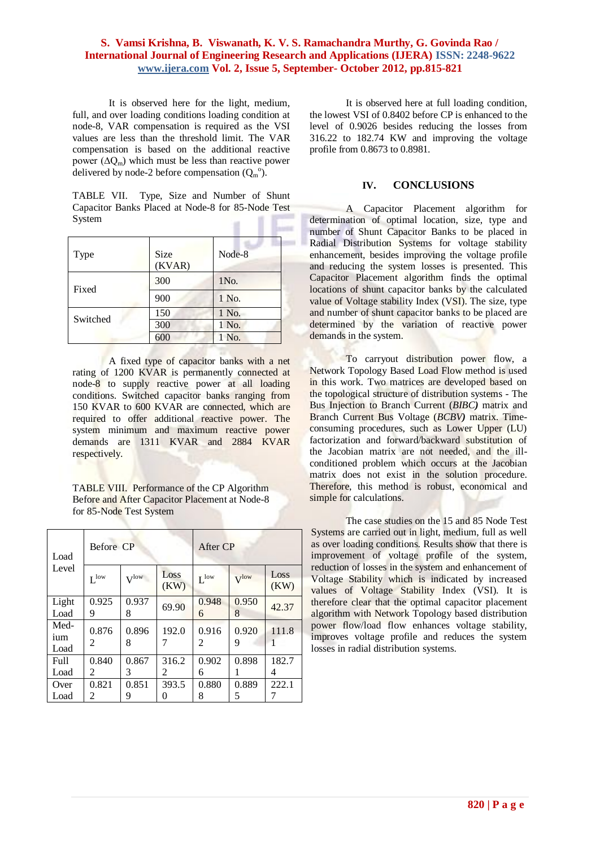It is observed here for the light, medium, full, and over loading conditions loading condition at node-8, VAR compensation is required as the VSI values are less than the threshold limit. The VAR compensation is based on the additional reactive power  $(\Delta Q_m)$  which must be less than reactive power delivered by node-2 before compensation  $(Q_m^{\circ})$ .

TABLE VII. Type, Size and Number of Shunt Capacitor Banks Placed at Node-8 for 85-Node Test System  $\mathbf{u}$ 

| <b>Type</b> | <b>Size</b><br>(KVAR) | Node-8 |
|-------------|-----------------------|--------|
| Fixed       | 300                   | 1No.   |
|             | 900                   | 1 No.  |
| Switched    | 150                   | 1 No.  |
|             | 300                   | 1 No.  |
|             | 600                   | 1 No.  |

A fixed type of capacitor banks with a net rating of 1200 KVAR is permanently connected at node-8 to supply reactive power at all loading conditions. Switched capacitor banks ranging from 150 KVAR to 600 KVAR are connected, which are required to offer additional reactive power. The system minimum and maximum reactive power demands are 1311 KVAR and 2884 KVAR respectively.

TABLE VIII. Performance of the CP Algorithm Before and After Capacitor Placement at Node-8 for 85-Node Test System

| Load                | Before CP        |                  |              | After CP         |                  |              |
|---------------------|------------------|------------------|--------------|------------------|------------------|--------------|
| Level               | $I^{\text{low}}$ | $V^{\text{low}}$ | Loss<br>(KW) | $I^{\text{low}}$ | $V^{\text{low}}$ | Loss<br>(KW) |
| Light<br>Load       | 0.925<br>9       | 0.937<br>8       | 69.90        | 0.948<br>6       | 0.950<br>8       | 42.37        |
| Med-<br>ium<br>Load | 0.876<br>2       | 0.896<br>8       | 192.0        | 0.916<br>2       | 0.920<br>9       | 111.8        |
| <b>Full</b><br>Load | 0.840<br>2       | 0.867<br>3       | 316.2<br>2   | 0.902<br>6       | 0.898<br>Ш       | 182.7<br>4   |
| Over<br>Load        | 0.821<br>2       | 0.851<br>9       | 393.5<br>0   | 0.880<br>8       | 0.889<br>5       | 222.1        |

It is observed here at full loading condition, the lowest VSI of 0.8402 before CP is enhanced to the level of 0.9026 besides reducing the losses from 316.22 to 182.74 KW and improving the voltage profile from 0.8673 to 0.8981.

## **IV. CONCLUSIONS**

A Capacitor Placement algorithm for determination of optimal location, size, type and number of Shunt Capacitor Banks to be placed in Radial Distribution Systems for voltage stability enhancement, besides improving the voltage profile and reducing the system losses is presented. This Capacitor Placement algorithm finds the optimal locations of shunt capacitor banks by the calculated value of Voltage stability Index (VSI). The size, type and number of shunt capacitor banks to be placed are determined by the variation of reactive power demands in the system.

To carryout distribution power flow, a Network Topology Based Load Flow method is used in this work. Two matrices are developed based on the topological structure of distribution systems - The Bus Injection to Branch Current (*BIBC)* matrix and Branch Current Bus Voltage (*BCBV)* matrix. Timeconsuming procedures, such as Lower Upper (LU) factorization and forward/backward substitution of the Jacobian matrix are not needed, and the illconditioned problem which occurs at the Jacobian matrix does not exist in the solution procedure. Therefore, this method is robust, economical and simple for calculations.

The case studies on the 15 and 85 Node Test Systems are carried out in light, medium, full as well as over loading conditions. Results show that there is improvement of voltage profile of the system, reduction of losses in the system and enhancement of Voltage Stability which is indicated by increased values of Voltage Stability Index (VSI). It is therefore clear that the optimal capacitor placement algorithm with Network Topology based distribution power flow/load flow enhances voltage stability, improves voltage profile and reduces the system losses in radial distribution systems.